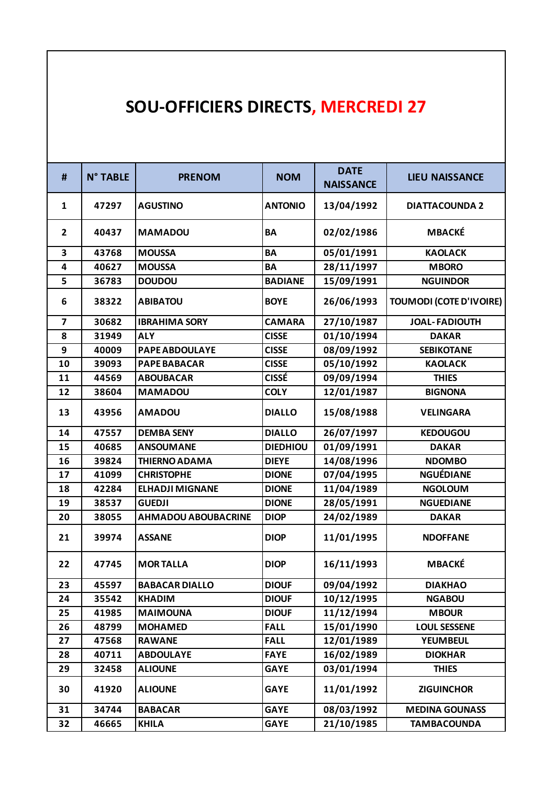## **SOU-OFFICIERS DIRECTS, MERCREDI 27**

| #                       | <b>N° TABLE</b> | <b>PRENOM</b>              | <b>NOM</b>      | <b>DATE</b><br><b>NAISSANCE</b> | <b>LIEU NAISSANCE</b>          |
|-------------------------|-----------------|----------------------------|-----------------|---------------------------------|--------------------------------|
| $\mathbf{1}$            | 47297           | <b>AGUSTINO</b>            | <b>ANTONIO</b>  | 13/04/1992                      | <b>DIATTACOUNDA 2</b>          |
| $\overline{2}$          | 40437           | <b>MAMADOU</b>             | <b>BA</b>       | 02/02/1986                      | <b>MBACKÉ</b>                  |
| 3                       | 43768           | <b>MOUSSA</b>              | <b>BA</b>       | 05/01/1991                      | <b>KAOLACK</b>                 |
| 4                       | 40627           | <b>MOUSSA</b>              | <b>BA</b>       | 28/11/1997                      | <b>MBORO</b>                   |
| 5                       | 36783           | <b>DOUDOU</b>              | <b>BADIANE</b>  | 15/09/1991                      | <b>NGUINDOR</b>                |
| 6                       | 38322           | <b>ABIBATOU</b>            | <b>BOYE</b>     | 26/06/1993                      | <b>TOUMODI (COTE D'IVOIRE)</b> |
| $\overline{\mathbf{z}}$ | 30682           | <b>IBRAHIMA SORY</b>       | <b>CAMARA</b>   | 27/10/1987                      | <b>JOAL-FADIOUTH</b>           |
| 8                       | 31949           | <b>ALY</b>                 | <b>CISSE</b>    | 01/10/1994                      | <b>DAKAR</b>                   |
| 9                       | 40009           | <b>PAPE ABDOULAYE</b>      | <b>CISSE</b>    | 08/09/1992                      | <b>SEBIKOTANE</b>              |
| 10                      | 39093           | <b>PAPE BABACAR</b>        | <b>CISSE</b>    | 05/10/1992                      | <b>KAOLACK</b>                 |
| 11                      | 44569           | <b>ABOUBACAR</b>           | <b>CISSÉ</b>    | 09/09/1994                      | <b>THIES</b>                   |
| 12                      | 38604           | <b>MAMADOU</b>             | <b>COLY</b>     | 12/01/1987                      | <b>BIGNONA</b>                 |
| 13                      | 43956           | <b>AMADOU</b>              | <b>DIALLO</b>   | 15/08/1988                      | <b>VELINGARA</b>               |
| 14                      | 47557           | <b>DEMBA SENY</b>          | <b>DIALLO</b>   | 26/07/1997                      | <b>KEDOUGOU</b>                |
| 15                      | 40685           | <b>ANSOUMANE</b>           | <b>DIEDHIOU</b> | 01/09/1991                      | <b>DAKAR</b>                   |
| 16                      | 39824           | <b>THIERNO ADAMA</b>       | <b>DIEYE</b>    | 14/08/1996                      | <b>NDOMBO</b>                  |
| 17                      | 41099           | <b>CHRISTOPHE</b>          | <b>DIONE</b>    | 07/04/1995                      | <b>NGUÉDIANE</b>               |
| 18                      | 42284           | <b>ELHADJI MIGNANE</b>     | <b>DIONE</b>    | 11/04/1989                      | <b>NGOLOUM</b>                 |
| 19                      | 38537           | <b>GUEDJI</b>              | <b>DIONE</b>    | 28/05/1991                      | <b>NGUEDIANE</b>               |
| 20                      | 38055           | <b>AHMADOU ABOUBACRINE</b> | <b>DIOP</b>     | 24/02/1989                      | <b>DAKAR</b>                   |
| 21                      | 39974           | <b>ASSANE</b>              | <b>DIOP</b>     | 11/01/1995                      | <b>NDOFFANE</b>                |
| 22                      | 47745           | <b>MORTALLA</b>            | <b>DIOP</b>     | 16/11/1993                      | <b>MBACKÉ</b>                  |
| 23                      | 45597           | <b>BABACAR DIALLO</b>      | <b>DIOUF</b>    | 09/04/1992                      | <b>DIAKHAO</b>                 |
| 24                      | 35542           | <b>KHADIM</b>              | <b>DIOUF</b>    | 10/12/1995                      | <b>NGABOU</b>                  |
| 25                      | 41985           | <b>MAIMOUNA</b>            | <b>DIOUF</b>    | 11/12/1994                      | <b>MBOUR</b>                   |
| 26                      | 48799           | <b>MOHAMED</b>             | <b>FALL</b>     | 15/01/1990                      | <b>LOUL SESSENE</b>            |
| 27                      | 47568           | <b>RAWANE</b>              | <b>FALL</b>     | 12/01/1989                      | <b>YEUMBEUL</b>                |
| 28                      | 40711           | <b>ABDOULAYE</b>           | <b>FAYE</b>     | 16/02/1989                      | <b>DIOKHAR</b>                 |
| 29                      | 32458           | <b>ALIOUNE</b>             | <b>GAYE</b>     | 03/01/1994                      | <b>THIES</b>                   |
| 30                      | 41920           | <b>ALIOUNE</b>             | <b>GAYE</b>     | 11/01/1992                      | <b>ZIGUINCHOR</b>              |
| 31                      | 34744           | <b>BABACAR</b>             | <b>GAYE</b>     | 08/03/1992                      | <b>MEDINA GOUNASS</b>          |
| 32                      | 46665           | <b>KHILA</b>               | <b>GAYE</b>     | 21/10/1985                      | <b>TAMBACOUNDA</b>             |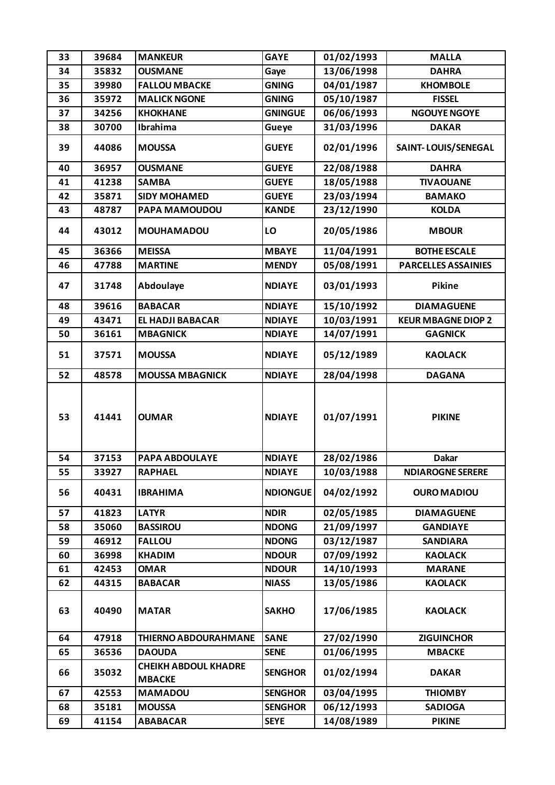| 33 | 39684 | <b>MANKEUR</b>                               | <b>GAYE</b>     | 01/02/1993 | <b>MALLA</b>               |
|----|-------|----------------------------------------------|-----------------|------------|----------------------------|
| 34 | 35832 | <b>OUSMANE</b>                               | Gaye            | 13/06/1998 | <b>DAHRA</b>               |
| 35 | 39980 | <b>FALLOU MBACKE</b>                         | <b>GNING</b>    | 04/01/1987 | <b>KHOMBOLE</b>            |
| 36 | 35972 | <b>MALICK NGONE</b>                          | <b>GNING</b>    | 05/10/1987 | <b>FISSEL</b>              |
| 37 | 34256 | <b>KHOKHANE</b>                              | <b>GNINGUE</b>  | 06/06/1993 | <b>NGOUYE NGOYE</b>        |
| 38 | 30700 | Ibrahima                                     | Gueye           | 31/03/1996 | <b>DAKAR</b>               |
| 39 | 44086 | <b>MOUSSA</b>                                | <b>GUEYE</b>    | 02/01/1996 | <b>SAINT-LOUIS/SENEGAL</b> |
| 40 | 36957 | <b>OUSMANE</b>                               | <b>GUEYE</b>    | 22/08/1988 | <b>DAHRA</b>               |
| 41 | 41238 | <b>SAMBA</b>                                 | <b>GUEYE</b>    | 18/05/1988 | <b>TIVAOUANE</b>           |
| 42 | 35871 | <b>SIDY MOHAMED</b>                          | <b>GUEYE</b>    | 23/03/1994 | <b>BAMAKO</b>              |
| 43 | 48787 | PAPA MAMOUDOU                                | <b>KANDE</b>    | 23/12/1990 | <b>KOLDA</b>               |
| 44 | 43012 | <b>MOUHAMADOU</b>                            | LO              | 20/05/1986 | <b>MBOUR</b>               |
| 45 | 36366 | <b>MEISSA</b>                                | <b>MBAYE</b>    | 11/04/1991 | <b>BOTHE ESCALE</b>        |
| 46 | 47788 | <b>MARTINE</b>                               | <b>MENDY</b>    | 05/08/1991 | <b>PARCELLES ASSAINIES</b> |
| 47 | 31748 | Abdoulaye                                    | <b>NDIAYE</b>   | 03/01/1993 | Pikine                     |
| 48 | 39616 | <b>BABACAR</b>                               | <b>NDIAYE</b>   | 15/10/1992 | <b>DIAMAGUENE</b>          |
| 49 | 43471 | <b>EL HADJI BABACAR</b>                      | <b>NDIAYE</b>   | 10/03/1991 | <b>KEUR MBAGNE DIOP 2</b>  |
| 50 | 36161 | <b>MBAGNICK</b>                              | <b>NDIAYE</b>   | 14/07/1991 | <b>GAGNICK</b>             |
| 51 | 37571 | <b>MOUSSA</b>                                | <b>NDIAYE</b>   | 05/12/1989 | <b>KAOLACK</b>             |
| 52 | 48578 | <b>MOUSSA MBAGNICK</b>                       | <b>NDIAYE</b>   | 28/04/1998 | <b>DAGANA</b>              |
| 53 | 41441 | <b>OUMAR</b>                                 | <b>NDIAYE</b>   | 01/07/1991 | <b>PIKINE</b>              |
| 54 | 37153 | <b>PAPA ABDOULAYE</b>                        | <b>NDIAYE</b>   | 28/02/1986 | <b>Dakar</b>               |
| 55 | 33927 | <b>RAPHAEL</b>                               | <b>NDIAYE</b>   | 10/03/1988 | <b>NDIAROGNE SERERE</b>    |
| 56 | 40431 | <b>IBRAHIMA</b>                              | <b>NDIONGUE</b> | 04/02/1992 | <b>OURO MADIOU</b>         |
| 57 | 41823 | <b>LATYR</b>                                 | <b>NDIR</b>     | 02/05/1985 | <b>DIAMAGUENE</b>          |
| 58 | 35060 | <b>BASSIROU</b>                              | <b>NDONG</b>    | 21/09/1997 | <b>GANDIAYE</b>            |
| 59 | 46912 | <b>FALLOU</b>                                | <b>NDONG</b>    | 03/12/1987 | <b>SANDIARA</b>            |
| 60 | 36998 | <b>KHADIM</b>                                | <b>NDOUR</b>    | 07/09/1992 | <b>KAOLACK</b>             |
| 61 | 42453 | <b>OMAR</b>                                  | <b>NDOUR</b>    | 14/10/1993 | <b>MARANE</b>              |
| 62 | 44315 | <b>BABACAR</b>                               | <b>NIASS</b>    | 13/05/1986 | <b>KAOLACK</b>             |
| 63 | 40490 | <b>MATAR</b>                                 | <b>SAKHO</b>    | 17/06/1985 | <b>KAOLACK</b>             |
| 64 | 47918 | <b>THIERNO ABDOURAHMANE</b>                  | <b>SANE</b>     | 27/02/1990 | <b>ZIGUINCHOR</b>          |
| 65 | 36536 | <b>DAOUDA</b>                                | <b>SENE</b>     | 01/06/1995 | <b>MBACKE</b>              |
| 66 | 35032 | <b>CHEIKH ABDOUL KHADRE</b><br><b>MBACKE</b> | <b>SENGHOR</b>  | 01/02/1994 | <b>DAKAR</b>               |
| 67 | 42553 | <b>MAMADOU</b>                               | <b>SENGHOR</b>  | 03/04/1995 | <b>THIOMBY</b>             |
| 68 | 35181 | <b>MOUSSA</b>                                | <b>SENGHOR</b>  | 06/12/1993 | <b>SADIOGA</b>             |
| 69 | 41154 | <b>ABABACAR</b>                              | <b>SEYE</b>     | 14/08/1989 | <b>PIKINE</b>              |